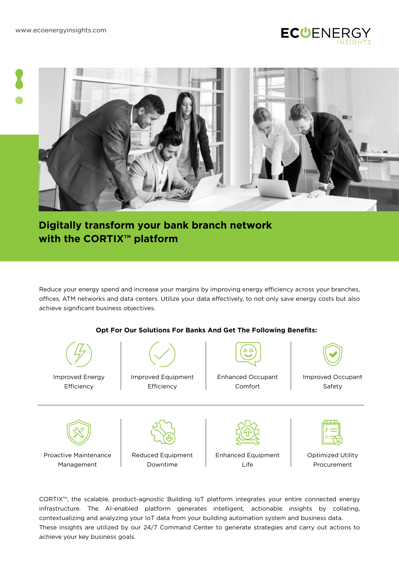



# **Digitally transform your bank branch network with the CORTIX™ platform**

Reduce your energy spend and increase your margins by improving energy efficiency across your branches, offices, ATM networks and data centers. Utilize your data effectively, to not only save energy costs but also achieve significant business objectives.

### **Opt For Our Solutions For Banks And Get The Following Benefits:**



CORTIX™, the scalable, product-agnostic Building IoT platform integrates your entire connected energy infrastructure. The AI-enabled platform generates intelligent, actionable insights by collating, contextualizing and analyzing your IoT data from your building automation system and business data. These insights are utilized by our 24/7 Command Center to generate strategies and carry out actions to achieve your key business goals.